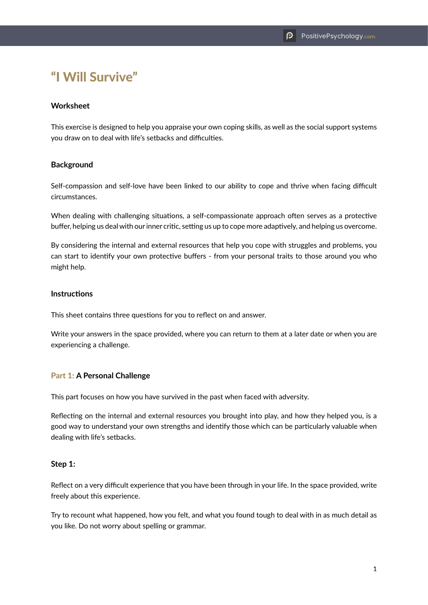# "I Will Survive"

## **Worksheet**

This exercise is designed to help you appraise your own coping skills, as well as the social support systems you draw on to deal with life's setbacks and difficulties.

### **Background**

Self-compassion and self-love have been linked to our ability to cope and thrive when facing difficult circumstances.

When dealing with challenging situations, a self-compassionate approach often serves as a protective buffer, helping us deal with our inner critic, setting us up to cope more adaptively, and helping us overcome.

By considering the internal and external resources that help you cope with struggles and problems, you can start to identify your own protective buffers - from your personal traits to those around you who might help.

### **Instructions**

This sheet contains three questions for you to reflect on and answer.

Write your answers in the space provided, where you can return to them at a later date or when you are experiencing a challenge.

### Part 1: **A Personal Challenge**

This part focuses on how you have survived in the past when faced with adversity.

Reflecting on the internal and external resources you brought into play, and how they helped you, is a good way to understand your own strengths and identify those which can be particularly valuable when dealing with life's setbacks.

### **Step 1:**

Reflect on a very difficult experience that you have been through in your life. In the space provided, write freely about this experience.

Try to recount what happened, how you felt, and what you found tough to deal with in as much detail as you like. Do not worry about spelling or grammar.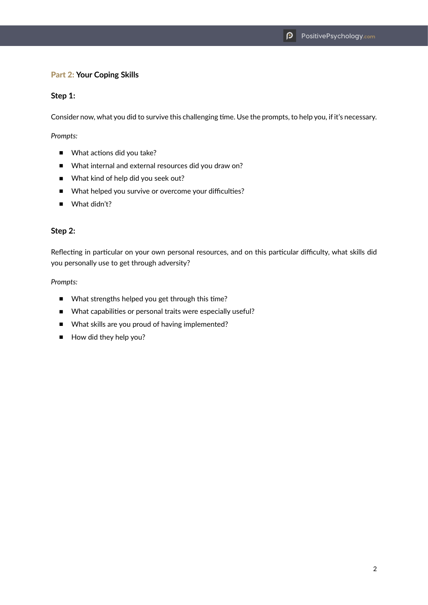## Part 2: **Your Coping Skills**

#### **Step 1:**

Consider now, what you did to survive this challenging time. Use the prompts, to help you, if it's necessary.

*Prompts:*

- What actions did you take?
- What internal and external resources did you draw on?
- What kind of help did you seek out?
- What helped you survive or overcome your difficulties?
- What didn't?

### **Step 2:**

Reflecting in particular on your own personal resources, and on this particular difficulty, what skills did you personally use to get through adversity?

#### *Prompts:*

- What strengths helped you get through this time?
- What capabilities or personal traits were especially useful?
- What skills are you proud of having implemented?
- How did they help you?